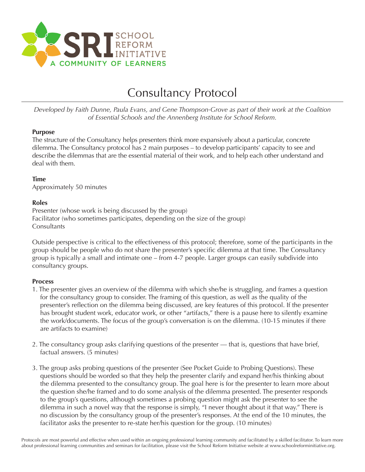

# Consultancy Protocol

*Developed by Faith Dunne, Paula Evans, and Gene Thompson-Grove as part of their work at the Coalition of Essential Schools and the Annenberg Institute for School Reform.*

### **Purpose**

The structure of the Consultancy helps presenters think more expansively about a particular, concrete dilemma. The Consultancy protocol has 2 main purposes – to develop participants' capacity to see and describe the dilemmas that are the essential material of their work, and to help each other understand and deal with them.

# **Time**

Approximately 50 minutes

### **Roles**

Presenter (whose work is being discussed by the group) Facilitator (who sometimes participates, depending on the size of the group) **Consultants** 

Outside perspective is critical to the effectiveness of this protocol; therefore, some of the participants in the group should be people who do not share the presenter's specific dilemma at that time. The Consultancy group is typically a small and intimate one – from 4-7 people. Larger groups can easily subdivide into consultancy groups.

# **Process**

- 1. The presenter gives an overview of the dilemma with which she/he is struggling, and frames a question for the consultancy group to consider. The framing of this question, as well as the quality of the presenter's reflection on the dilemma being discussed, are key features of this protocol. If the presenter has brought student work, educator work, or other "artifacts," there is a pause here to silently examine the work/documents. The focus of the group's conversation is on the dilemma. (10-15 minutes if there are artifacts to examine)
- 2. The consultancy group asks clarifying questions of the presenter that is, questions that have brief, factual answers. (5 minutes)
- 3. The group asks probing questions of the presenter (See Pocket Guide to Probing Questions). These questions should be worded so that they help the presenter clarify and expand her/his thinking about the dilemma presented to the consultancy group. The goal here is for the presenter to learn more about the question she/he framed and to do some analysis of the dilemma presented. The presenter responds to the group's questions, although sometimes a probing question might ask the presenter to see the dilemma in such a novel way that the response is simply, "I never thought about it that way." There is no discussion by the consultancy group of the presenter's responses. At the end of the 10 minutes, the facilitator asks the presenter to re-state her/his question for the group. (10 minutes)